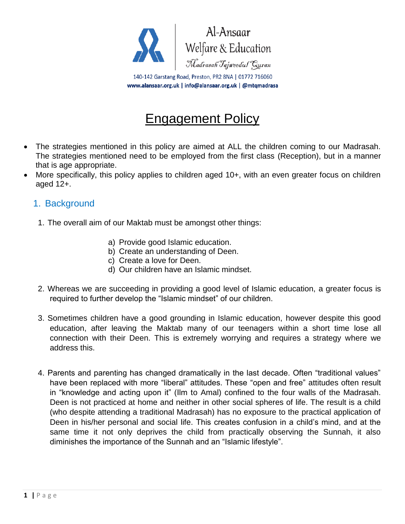

# Engagement Policy

- The strategies mentioned in this policy are aimed at ALL the children coming to our Madrasah. The strategies mentioned need to be employed from the first class (Reception), but in a manner that is age appropriate.
- More specifically, this policy applies to children aged 10+, with an even greater focus on children aged 12+.

## 1. Background

- 1. The overall aim of our Maktab must be amongst other things:
	- a) Provide good Islamic education.
	- b) Create an understanding of Deen.
	- c) Create a love for Deen.
	- d) Our children have an Islamic mindset.
- 2. Whereas we are succeeding in providing a good level of Islamic education, a greater focus is required to further develop the "Islamic mindset" of our children.
- 3. Sometimes children have a good grounding in Islamic education, however despite this good education, after leaving the Maktab many of our teenagers within a short time lose all connection with their Deen. This is extremely worrying and requires a strategy where we address this.
- 4. Parents and parenting has changed dramatically in the last decade. Often "traditional values" have been replaced with more "liberal" attitudes. These "open and free" attitudes often result in "knowledge and acting upon it" (Ilm to Amal) confined to the four walls of the Madrasah. Deen is not practiced at home and neither in other social spheres of life. The result is a child (who despite attending a traditional Madrasah) has no exposure to the practical application of Deen in his/her personal and social life. This creates confusion in a child's mind, and at the same time it not only deprives the child from practically observing the Sunnah, it also diminishes the importance of the Sunnah and an "Islamic lifestyle".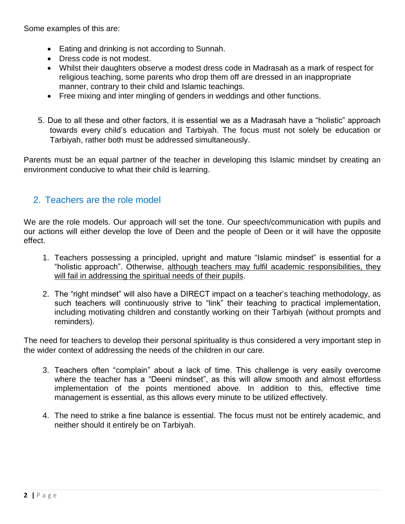Some examples of this are:

- Eating and drinking is not according to Sunnah.
- Dress code is not modest.
- Whilst their daughters observe a modest dress code in Madrasah as a mark of respect for religious teaching, some parents who drop them off are dressed in an inappropriate manner, contrary to their child and Islamic teachings.
- Free mixing and inter mingling of genders in weddings and other functions.
- 5. Due to all these and other factors, it is essential we as a Madrasah have a "holistic" approach towards every child's education and Tarbiyah. The focus must not solely be education or Tarbiyah, rather both must be addressed simultaneously.

Parents must be an equal partner of the teacher in developing this Islamic mindset by creating an environment conducive to what their child is learning.

## 2. Teachers are the role model

We are the role models. Our approach will set the tone. Our speech/communication with pupils and our actions will either develop the love of Deen and the people of Deen or it will have the opposite effect.

- 1. Teachers possessing a principled, upright and mature "Islamic mindset" is essential for a "holistic approach". Otherwise, although teachers may fulfil academic responsibilities, they will fail in addressing the spiritual needs of their pupils.
- 2. The "right mindset" will also have a DIRECT impact on a teacher's teaching methodology, as such teachers will continuously strive to "link" their teaching to practical implementation, including motivating children and constantly working on their Tarbiyah (without prompts and reminders).

The need for teachers to develop their personal spirituality is thus considered a very important step in the wider context of addressing the needs of the children in our care.

- 3. Teachers often "complain" about a lack of time. This challenge is very easily overcome where the teacher has a "Deeni mindset", as this will allow smooth and almost effortless implementation of the points mentioned above. In addition to this, effective time management is essential, as this allows every minute to be utilized effectively.
- 4. The need to strike a fine balance is essential. The focus must not be entirely academic, and neither should it entirely be on Tarbiyah.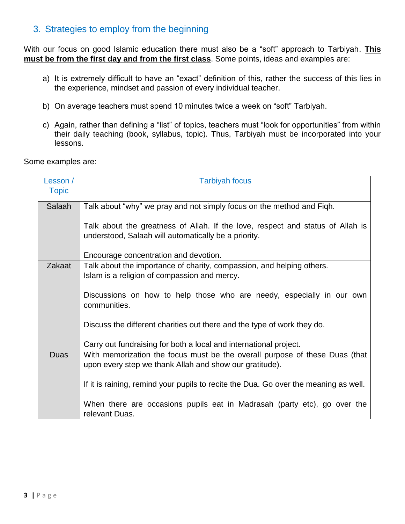## 3. Strategies to employ from the beginning

With our focus on good Islamic education there must also be a "soft" approach to Tarbiyah. **This must be from the first day and from the first class**. Some points, ideas and examples are:

- a) It is extremely difficult to have an "exact" definition of this, rather the success of this lies in the experience, mindset and passion of every individual teacher.
- b) On average teachers must spend 10 minutes twice a week on "soft" Tarbiyah.
- c) Again, rather than defining a "list" of topics, teachers must "look for opportunities" from within their daily teaching (book, syllabus, topic). Thus, Tarbiyah must be incorporated into your lessons.

Some examples are:

| Lesson /     | <b>Tarbiyah focus</b>                                                                                                                  |
|--------------|----------------------------------------------------------------------------------------------------------------------------------------|
| <b>Topic</b> |                                                                                                                                        |
| Salaah       | Talk about "why" we pray and not simply focus on the method and Figh.                                                                  |
|              | Talk about the greatness of Allah. If the love, respect and status of Allah is<br>understood, Salaah will automatically be a priority. |
|              | Encourage concentration and devotion.                                                                                                  |
| Zakaat       | Talk about the importance of charity, compassion, and helping others.<br>Islam is a religion of compassion and mercy.                  |
|              | Discussions on how to help those who are needy, especially in our own<br>communities.                                                  |
|              | Discuss the different charities out there and the type of work they do.                                                                |
|              | Carry out fundraising for both a local and international project.                                                                      |
| Duas         | With memorization the focus must be the overall purpose of these Duas (that<br>upon every step we thank Allah and show our gratitude). |
|              | If it is raining, remind your pupils to recite the Dua. Go over the meaning as well.                                                   |
|              | When there are occasions pupils eat in Madrasah (party etc), go over the<br>relevant Duas.                                             |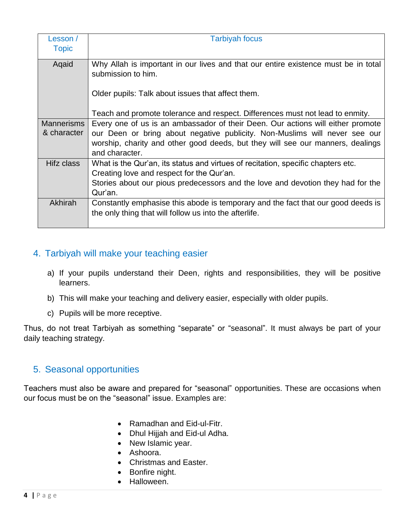| Lesson /          | <b>Tarbiyah focus</b>                                                                                                                      |
|-------------------|--------------------------------------------------------------------------------------------------------------------------------------------|
| <b>Topic</b>      |                                                                                                                                            |
| Aqaid             | Why Allah is important in our lives and that our entire existence must be in total<br>submission to him.                                   |
|                   | Older pupils: Talk about issues that affect them.                                                                                          |
|                   | Teach and promote tolerance and respect. Differences must not lead to enmity.                                                              |
| <b>Mannerisms</b> | Every one of us is an ambassador of their Deen. Our actions will either promote                                                            |
| & character       | our Deen or bring about negative publicity. Non-Muslims will never see our                                                                 |
|                   | worship, charity and other good deeds, but they will see our manners, dealings<br>and character.                                           |
| Hifz class        | What is the Qur'an, its status and virtues of recitation, specific chapters etc.                                                           |
|                   | Creating love and respect for the Qur'an.                                                                                                  |
|                   | Stories about our pious predecessors and the love and devotion they had for the                                                            |
|                   | Qur'an.                                                                                                                                    |
| Akhirah           | Constantly emphasise this abode is temporary and the fact that our good deeds is<br>the only thing that will follow us into the afterlife. |
|                   |                                                                                                                                            |

# 4. Tarbiyah will make your teaching easier

- a) If your pupils understand their Deen, rights and responsibilities, they will be positive learners.
- b) This will make your teaching and delivery easier, especially with older pupils.
- c) Pupils will be more receptive.

Thus, do not treat Tarbiyah as something "separate" or "seasonal". It must always be part of your daily teaching strategy.

# 5. Seasonal opportunities

Teachers must also be aware and prepared for "seasonal" opportunities. These are occasions when our focus must be on the "seasonal" issue. Examples are:

- Ramadhan and Eid-ul-Fitr.
- Dhul Hijjah and Eid-ul Adha.
- New Islamic year.
- Ashoora.
- Christmas and Easter.
- Bonfire night.
- Halloween.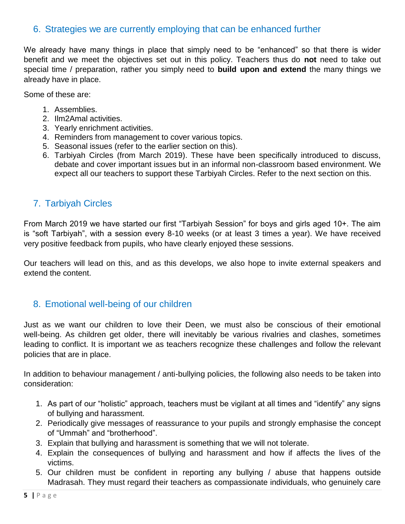## 6. Strategies we are currently employing that can be enhanced further

We already have many things in place that simply need to be "enhanced" so that there is wider benefit and we meet the objectives set out in this policy. Teachers thus do **not** need to take out special time / preparation, rather you simply need to **build upon and extend** the many things we already have in place.

Some of these are:

- 1. Assemblies.
- 2. Ilm2Amal activities.
- 3. Yearly enrichment activities.
- 4. Reminders from management to cover various topics.
- 5. Seasonal issues (refer to the earlier section on this).
- 6. Tarbiyah Circles (from March 2019). These have been specifically introduced to discuss, debate and cover important issues but in an informal non-classroom based environment. We expect all our teachers to support these Tarbiyah Circles. Refer to the next section on this.

# 7. Tarbiyah Circles

From March 2019 we have started our first "Tarbiyah Session" for boys and girls aged 10+. The aim is "soft Tarbiyah", with a session every 8-10 weeks (or at least 3 times a year). We have received very positive feedback from pupils, who have clearly enjoyed these sessions.

Our teachers will lead on this, and as this develops, we also hope to invite external speakers and extend the content.

## 8. Emotional well-being of our children

Just as we want our children to love their Deen, we must also be conscious of their emotional well-being. As children get older, there will inevitably be various rivalries and clashes, sometimes leading to conflict. It is important we as teachers recognize these challenges and follow the relevant policies that are in place.

In addition to behaviour management / anti-bullying policies, the following also needs to be taken into consideration:

- 1. As part of our "holistic" approach, teachers must be vigilant at all times and "identify" any signs of bullying and harassment.
- 2. Periodically give messages of reassurance to your pupils and strongly emphasise the concept of "Ummah" and "brotherhood".
- 3. Explain that bullying and harassment is something that we will not tolerate.
- 4. Explain the consequences of bullying and harassment and how if affects the lives of the victims.
- 5. Our children must be confident in reporting any bullying / abuse that happens outside Madrasah. They must regard their teachers as compassionate individuals, who genuinely care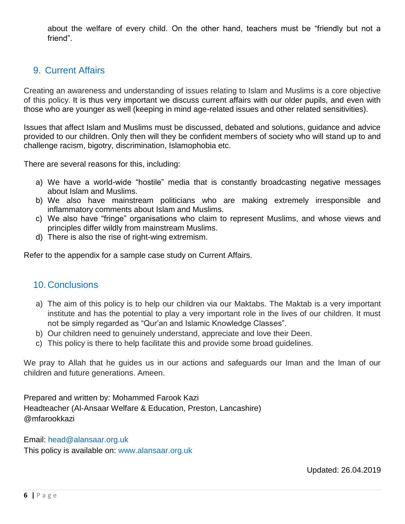about the welfare of every child. On the other hand, teachers must be "friendly but not a friend".

# 9. Current Affairs

Creating an awareness and understanding of issues relating to Islam and Muslims is a core objective of this policy. It is thus very important we discuss current affairs with our older pupils, and even with those who are younger as well (keeping in mind age-related issues and other related sensitivities).

Issues that affect Islam and Muslims must be discussed, debated and solutions, guidance and advice provided to our children. Only then will they be confident members of society who will stand up to and challenge racism, bigotry, discrimination, Islamophobia etc.

There are several reasons for this, including:

- a) We have a world-wide "hostile" media that is constantly broadcasting negative messages about Islam and Muslims.
- b) We also have mainstream politicians who are making extremely irresponsible and inflammatory comments about Islam and Muslims.
- c) We also have "fringe" organisations who claim to represent Muslims, and whose views and principles differ wildly from mainstream Muslims.
- d) There is also the rise of right-wing extremism.

Refer to the appendix for a sample case study on Current Affairs.

# 10. Conclusions

- a) The aim of this policy is to help our children via our Maktabs. The Maktab is a very important institute and has the potential to play a very important role in the lives of our children. It must not be simply regarded as "Qur'an and Islamic Knowledge Classes".
- b) Our children need to genuinely understand, appreciate and love their Deen.
- c) This policy is there to help facilitate this and provide some broad guidelines.

We pray to Allah that he guides us in our actions and safeguards our Iman and the Iman of our children and future generations. Ameen.

Prepared and written by: Mohammed Farook Kazi Headteacher (Al-Ansaar Welfare & Education, Preston, Lancashire) @mfarookkazi

#### Email: [head@alansaar.org.uk](mailto:head@alansaar.org.uk)

This policy is available on: www.alansaar.org.uk